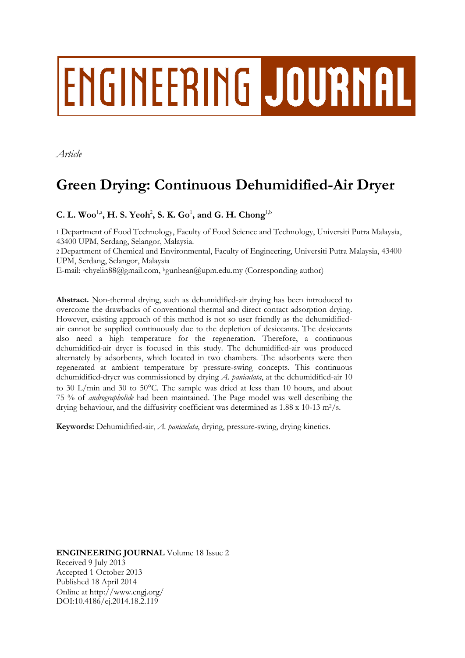# ENGINEERING JOURNAL

*Article*

# **Green Drying: Continuous Dehumidified-Air Dryer**

 $C. L. Wood<sup>1,2</sup>, H. S. Yeoh<sup>2</sup>, S. K. Go<sup>1</sup>, and G. H. Chong<sup>1,1</sup>$ 

1 Department of Food Technology, Faculty of Food Science and Technology, Universiti Putra Malaysia, 43400 UPM, Serdang, Selangor, Malaysia.

2 Department of Chemical and Environmental, Faculty of Engineering, Universiti Putra Malaysia, 43400 UPM, Serdang, Selangor, Malaysia

E-mail: achyelin88@gmail.com, bgunhean@upm.edu.my (Corresponding author)

**Abstract.** Non-thermal drying, such as dehumidified-air drying has been introduced to overcome the drawbacks of conventional thermal and direct contact adsorption drying. However, existing approach of this method is not so user friendly as the dehumidifiedair cannot be supplied continuously due to the depletion of desiccants. The desiccants also need a high temperature for the regeneration. Therefore, a continuous dehumidified-air dryer is focused in this study. The dehumidified-air was produced alternately by adsorbents, which located in two chambers. The adsorbents were then regenerated at ambient temperature by pressure-swing concepts. This continuous dehumidified-dryer was commissioned by drying *A. paniculata*, at the dehumidified-air 10 to 30 L/min and 30 to 50°C. The sample was dried at less than 10 hours, and about 75 % of *andrographolide* had been maintained. The Page model was well describing the drying behaviour, and the diffusivity coefficient was determined as  $1.88 \times 10^{-13}$  m<sup>2</sup>/s.

**Keywords:** Dehumidified-air, *A. paniculata*, drying, pressure-swing, drying kinetics.

**ENGINEERING JOURNAL** Volume 18 Issue 2 Received 9 July 2013 Accepted 1 October 2013 Published 18 April 2014 Online at http://www.engj.org/ DOI:10.4186/ej.2014.18.2.119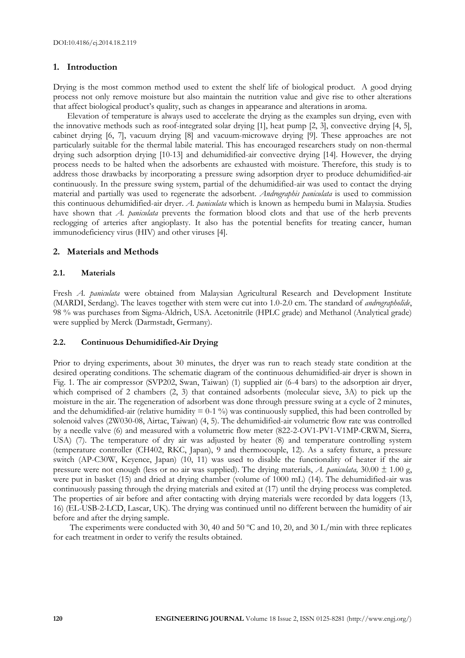#### **1. Introduction**

Drying is the most common method used to extent the shelf life of biological product. A good drying process not only remove moisture but also maintain the nutrition value and give rise to other alterations that affect biological product's quality, such as changes in appearance and alterations in aroma.

Elevation of temperature is always used to accelerate the drying as the examples sun drying, even with the innovative methods such as roof-integrated solar drying [1], heat pump [2, 3], convective drying [4, 5], cabinet drying [6, 7], vacuum drying [8] and vacuum-microwave drying [9]. These approaches are not particularly suitable for the thermal labile material. This has encouraged researchers study on non-thermal drying such adsorption drying [10-13] and dehumidified-air convective drying [14]. However, the drying process needs to be halted when the adsorbents are exhausted with moisture. Therefore, this study is to address those drawbacks by incorporating a pressure swing adsorption dryer to produce dehumidified-air continuously. In the pressure swing system, partial of the dehumidified-air was used to contact the drying material and partially was used to regenerate the adsorbent. *Andrographis paniculata* is used to commission this continuous dehumidified-air dryer. *A. paniculata* which is known as hempedu bumi in Malaysia. Studies have shown that *A. paniculata* prevents the formation blood clots and that use of the herb prevents reclogging of arteries after angioplasty. It also has the potential benefits for treating cancer, human immunodeficiency virus (HIV) and other viruses [4].

#### **2. Materials and Methods**

#### **2.1. Materials**

Fresh *A. paniculata* were obtained from Malaysian Agricultural Research and Development Institute (MARDI, Serdang). The leaves together with stem were cut into 1.0-2.0 cm. The standard of *andrographolide*, 98 % was purchases from Sigma-Aldrich, USA. Acetonitrile (HPLC grade) and Methanol (Analytical grade) were supplied by Merck (Darmstadt, Germany).

#### **2.2. Continuous Dehumidified-Air Drying**

Prior to drying experiments, about 30 minutes, the dryer was run to reach steady state condition at the desired operating conditions. The schematic diagram of the continuous dehumidified-air dryer is shown in Fig. 1. The air compressor (SVP202, Swan, Taiwan) (1) supplied air (6-4 bars) to the adsorption air dryer, which comprised of 2 chambers (2, 3) that contained adsorbents (molecular sieve, 3A) to pick up the moisture in the air. The regeneration of adsorbent was done through pressure swing at a cycle of 2 minutes, and the dehumidified-air (relative humidity  $= 0.1 \%$ ) was continuously supplied, this had been controlled by solenoid valves (2W030-08, Airtac, Taiwan) (4, 5). The dehumidified-air volumetric flow rate was controlled by a needle valve (6) and measured with a volumetric flow meter (822-2-OV1-PV1-V1MP-CRWM, Sierra, USA) (7). The temperature of dry air was adjusted by heater (8) and temperature controlling system (temperature controller (CH402, RKC, Japan), 9 and thermocouple, 12). As a safety fixture, a pressure switch (AP-C30W, Keyence, Japan) (10, 11) was used to disable the functionality of heater if the air pressure were not enough (less or no air was supplied). The drying materials, *A. paniculata*,  $30.00 \pm 1.00$  g, were put in basket (15) and dried at drying chamber (volume of 1000 mL) (14). The dehumidified-air was continuously passing through the drying materials and exited at (17) until the drying process was completed. The properties of air before and after contacting with drying materials were recorded by data loggers (13, 16) (EL-USB-2-LCD, Lascar, UK). The drying was continued until no different between the humidity of air before and after the drying sample.

The experiments were conducted with 30, 40 and 50 °C and 10, 20, and 30 L/min with three replicates for each treatment in order to verify the results obtained.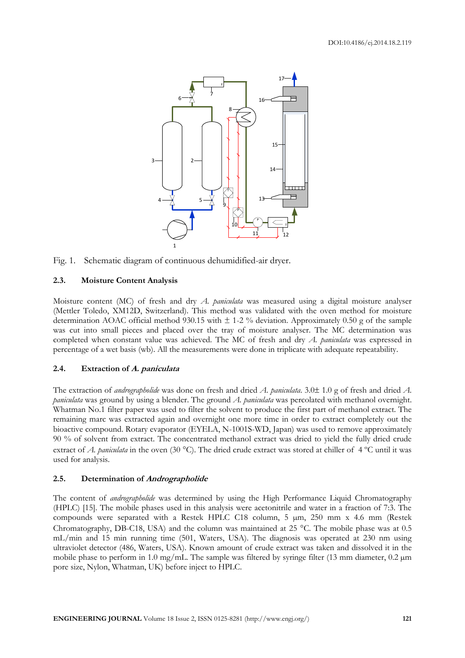

Fig. 1. Schematic diagram of continuous dehumidified-air dryer.

### **2.3. Moisture Content Analysis**

Moisture content (MC) of fresh and dry *A. paniculata* was measured using a digital moisture analyser (Mettler Toledo, XM12D, Switzerland). This method was validated with the oven method for moisture determination AOAC official method 930.15 with  $\pm$  1-2 % deviation. Approximately 0.50 g of the sample was cut into small pieces and placed over the tray of moisture analyser. The MC determination was completed when constant value was achieved. The MC of fresh and dry *A. paniculata* was expressed in percentage of a wet basis (wb). All the measurements were done in triplicate with adequate repeatability.

# **2.4. Extraction of A. paniculata**

The extraction of *andrographolide* was done on fresh and dried *A. paniculata*. 3.0 ± 1.0 g of fresh and dried *A. paniculata* was ground by using a blender. The ground *A. paniculata* was percolated with methanol overnight. Whatman No.1 filter paper was used to filter the solvent to produce the first part of methanol extract. The remaining marc was extracted again and overnight one more time in order to extract completely out the bioactive compound. Rotary evaporator (EYELA, N-1001S-WD, Japan) was used to remove approximately 90 % of solvent from extract. The concentrated methanol extract was dried to yield the fully dried crude extract of *A. paniculata* in the oven (30 °C). The dried crude extract was stored at chiller of 4 °C until it was used for analysis.

# **2.5. Determination of Andrographolide**

The content of *andrographolide* was determined by using the High Performance Liquid Chromatography (HPLC) [15]. The mobile phases used in this analysis were acetonitrile and water in a fraction of 7:3. The compounds were separated with a Restek HPLC C18 column, 5 µm, 250 mm x 4.6 mm (Restek Chromatography, DB-C18, USA) and the column was maintained at 25  $^{\circ}$ C. The mobile phase was at 0.5 mL/min and 15 min running time (501, Waters, USA). The diagnosis was operated at 230 nm using ultraviolet detector (486, Waters, USA). Known amount of crude extract was taken and dissolved it in the mobile phase to perform in 1.0 mg/mL. The sample was filtered by syringe filter (13 mm diameter, 0.2  $\mu$ m pore size, Nylon, Whatman, UK) before inject to HPLC.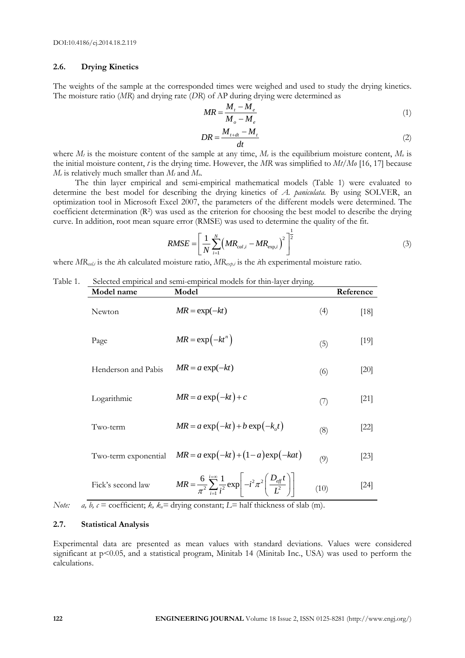# **2.6. Drying Kinetics**

The weights of the sample at the corresponded times were weighed and used to study the drying kinetics. The moisture ratio (*MR*) and drying rate (*DR*) of AP during drying were determined as

$$
MR = \frac{M_t - M_e}{M_o - M_e} \tag{1}
$$

$$
DR = \frac{M_{t+dt} - M_t}{dt} \tag{2}
$$

where  $M_t$  is the moisture content of the sample at any time,  $M_e$  is the equilibrium moisture content,  $M_e$  is the initial moisture content, *t* is the drying time. However, the *MR* was simplified to *Mt/Mo* [16, 17] because  $M_t$  is relatively much smaller than  $M_t$  and  $M_0$ .

The thin layer empirical and semi-empirical mathematical models (Table 1) were evaluated to determine the best model for describing the drying kinetics of *A. paniculata*. By using SOLVER, an optimization tool in Microsoft Excel 2007, the parameters of the different models were determined. The coefficient determination (R<sup>2</sup>) was used as the criterion for choosing the best model to describe the drying curve. In addition, root mean square error (RMSE) was used to determine the quality of the fit.

$$
RMSE = \left[\frac{1}{N} \sum_{i=1}^{N} \left(MR_{cal,i} - MR_{\text{exp},i}\right)^{2}\right]^{\frac{1}{2}}
$$
(3)

where  $MR_{cali}$  is the *i*th calculated moisture ratio,  $MR_{\alpha\beta}$  is the *i*th experimental moisture ratio.

#### Table 1. Selected empirical and semi-empirical models for thin-layer drying.

| Model name           | Model                                                                                                                            |      | Reference |
|----------------------|----------------------------------------------------------------------------------------------------------------------------------|------|-----------|
| <b>Newton</b>        | $MR = \exp(-kt)$                                                                                                                 | (4)  | [18]      |
| Page                 | $MR = \exp(-kt^n)$                                                                                                               | (5)  | [19]      |
| Henderson and Pabis  | $MR = a \exp(-kt)$                                                                                                               | (6)  | [20]      |
| Logarithmic          | $MR = a \exp(-kt) + c$                                                                                                           | (7)  | $[21]$    |
| Two-term             | $MR = a \exp(-kt) + b \exp(-k_a t)$                                                                                              | (8)  | $[22]$    |
| Two-term exponential | $MR = a \exp(-kt) + (1 - a) \exp(-kat)$                                                                                          | (9)  | $[23]$    |
| Fick's second law    | $MR = \frac{6}{\pi^2} \sum_{i=1}^{i=\infty} \frac{1}{i^2} \exp \left(-i^2 \pi^2 \left(\frac{D_{\text{eff}}t}{L^2}\right)\right)$ | (10) | [24]      |

*Note: a, b,*  $c =$  coefficient;  $k$ ,  $k<sub>o</sub> =$  drying constant;  $L =$  half thickness of slab (m).

#### **2.7. Statistical Analysis**

Experimental data are presented as mean values with standard deviations. Values were considered significant at p<0.05, and a statistical program, Minitab 14 (Minitab Inc., USA) was used to perform the calculations.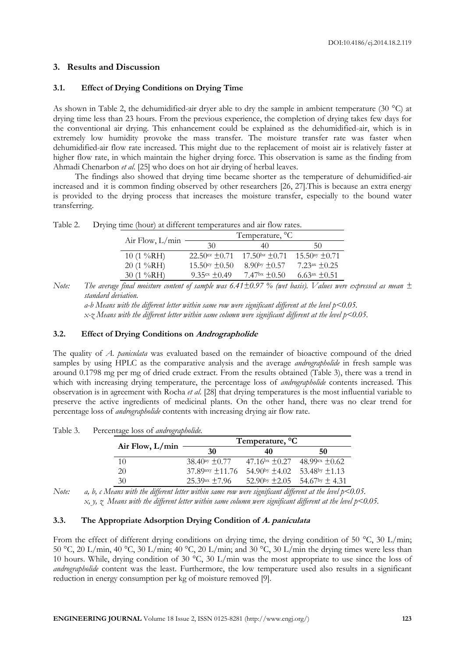#### **3. Results and Discussion**

#### **3.1. Effect of Drying Conditions on Drying Time**

As shown in Table 2, the dehumidified-air dryer able to dry the sample in ambient temperature (30 °C) at drying time less than 23 hours. From the previous experience, the completion of drying takes few days for the conventional air drying. This enhancement could be explained as the dehumidified-air, which is in extremely low humidity provoke the mass transfer. The moisture transfer rate was faster when dehumidified-air flow rate increased. This might due to the replacement of moist air is relatively faster at higher flow rate, in which maintain the higher drying force. This observation is same as the finding from Ahmadi Chenarbon *et al*. [25] who does on hot air drying of herbal leaves*.*

The findings also showed that drying time became shorter as the temperature of dehumidified-air increased and it is common finding observed by other researchers [26, 27].This is because an extra energy is provided to the drying process that increases the moisture transfer, especially to the bound water transferring.

|                                      | Temperature, <sup>o</sup> C       |                   |                           |
|--------------------------------------|-----------------------------------|-------------------|---------------------------|
| Air Flow, $L/min$                    | 30                                | 40                | 50                        |
| 10 $(1\%RH)$                         | $22.50$ cz +0.71 $17.50$ bz +0.71 |                   | $15.50$ ay $\pm 0.71$     |
| $20(1\%RH)$                          | $15.50\% \pm 0.50$                | 8.90by $\pm 0.57$ | $7.23ax \pm 0.25$         |
| 30 $(1 \sqrt{6}$ <sub>O</sub> RH $)$ | 9.35 $cx + 0.49$                  | $7.47bx + 0.50$   | 6.63 $\text{ax} \pm 0.51$ |

Table 2. Drying time (hour) at different temperatures and air flow rates.

*Note: The average final moisture content of sample was 6.41±0.97 % (wet basis). Values were expressed as mean ± standard deviation.*

*a-b Means with the different letter within same row were significant different at the level p<0.05. x-z Means with the different letter within same column were significant different at the level p<0.05.*

#### **3.2. Effect of Drying Conditions on Andrographolide**

The quality of *A. paniculata* was evaluated based on the remainder of bioactive compound of the dried samples by using HPLC as the comparative analysis and the average *andrographolide* in fresh sample was around 0.1798 mg per mg of dried crude extract. From the results obtained (Table 3), there was a trend in which with increasing drying temperature, the percentage loss of *andrographolide* contents increased. This observation is in agreement with Rocha *et al*. [28] that drying temperatures is the most influential variable to preserve the active ingredients of medicinal plants. On the other hand, there was no clear trend for percentage loss of *andrographolide* contents with increasing drying air flow rate.

Table 3. Percentage loss of *andrographolide.*

|                   | Temperature, <sup>o</sup> C |                    |                                             |
|-------------------|-----------------------------|--------------------|---------------------------------------------|
| Air Flow, $L/min$ | 30                          | 40                 | 50                                          |
| 10                | $38.40$ ay $\pm 0.77$       | $47.16bx + 0.27$   | $48.99cx + 0.62$                            |
| 20                | $37.89$ axy $\pm$ 11.76     | $54.90$ by $+4.02$ | $53.48$ by $+1.13$                          |
| 30                | $25.39ax + 7.96$            |                    | $52.90$ by $\pm 2.05$ $54.67$ by $\pm 4.31$ |

*Note: a, b, c Means with the different letter within same row were significant different at the level p<0.05. x, y, z Means with the different letter within same column were significant different at the level p<0.05.*

#### **3.3. The Appropriate Adsorption Drying Condition of A. paniculata**

From the effect of different drying conditions on drying time, the drying condition of 50 °C, 30 L/min; 50 °C, 20 L/min, 40 °C, 30 L/min; 40 °C, 20 L/min; and 30 °C, 30 L/min the drying times were less than 10 hours. While, drying condition of 30 °C, 30 L/min was the most appropriate to use since the loss of *andrographolide* content was the least. Furthermore, the low temperature used also results in a significant reduction in energy consumption per kg of moisture removed [9].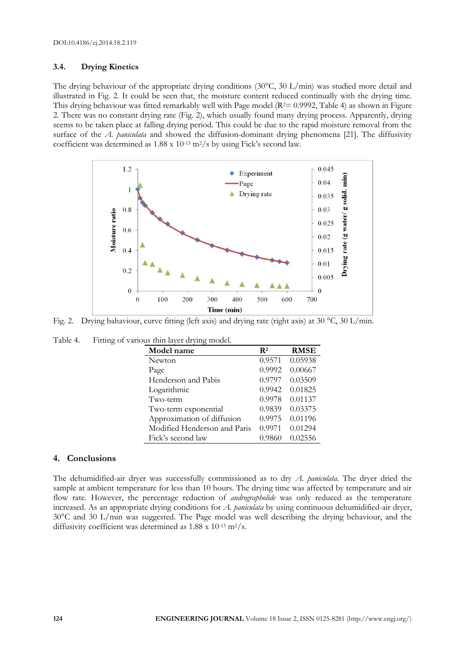## **3.4. Drying Kinetics**

The drying behaviour of the appropriate drying conditions  $(30^{\circ}C, 30 \text{ L/min})$  was studied more detail and illustrated in Fig. 2. It could be seen that, the moisture content reduced continually with the drying time. This drying behaviour was fitted remarkably well with Page model ( $R<sup>2</sup>= 0.9992$ , Table 4) as shown in Figure 2. There was no constant drying rate (Fig. 2), which usually found many drying process. Apparently, drying seems to be taken place at falling drying period. This could be due to the rapid moisture removal from the surface of the *A. paniculata* and showed the diffusion-dominant drying phenomena [21]. The diffusivity coefficient was determined as 1.88 x 10-13 m2/s by using Fick's second law.



Fig. 2. Drying bahaviour, curve fitting (left axis) and drying rate (right axis) at 30 °C, 30 L/min.

| Table 4. |  | Fitting of various thin layer drying model. |  |
|----------|--|---------------------------------------------|--|
|          |  |                                             |  |

| Model name                   | $\mathbf{R}^2$ | <b>RMSE</b> |
|------------------------------|----------------|-------------|
| Newton                       | 0.9571         | 0.05938     |
| Page                         | 0.9992         | 0.00667     |
| Henderson and Pabis          | 0.9797         | 0.03509     |
| Logarithmic                  | 0.9942         | 0.01825     |
| Two-term                     | 0.9978         | 0.01137     |
| Two-term exponential         | 0.9839         | 0.03375     |
| Approximation of diffusion   | 0.9975         | 0.01196     |
| Modified Henderson and Paris | 0.9971         | 0.01294     |
| Fick's second law            | 0.9860         | 0.02556     |

# **4. Conclusions**

The dehumidified-air dryer was successfully commissioned as to dry *A. paniculata*. The dryer dried the sample at ambient temperature for less than 10 hours. The drying time was affected by temperature and air flow rate. However, the percentage reduction of *andrographolide* was only reduced as the temperature increased. As an appropriate drying conditions for *A. paniculata* by using continuous dehumidified-air dryer, 30°C and 30 L/min was suggested. The Page model was well describing the drying behaviour, and the diffusivity coefficient was determined as  $1.88 \times 10^{-13}$  m<sup>2</sup>/s.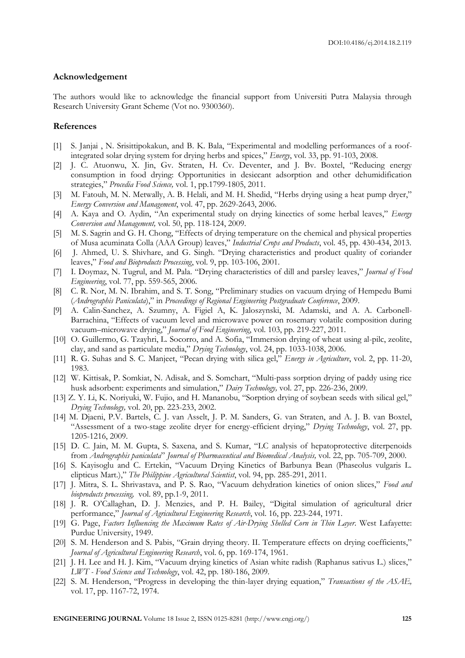#### **Acknowledgement**

The authors would like to acknowledge the financial support from Universiti Putra Malaysia through Research University Grant Scheme (Vot no. 9300360).

#### **References**

- [1] S. Janjai , N. Srisittipokakun, and B. K. Bala, "Experimental and modelling performances of a roofintegrated solar drying system for drying herbs and spices," *Energy*, vol. 33, pp. 91-103, 2008.
- [2] J. C. Atuonwu, X. Jin, Gv. Straten, H. Cv. Deventer, and J. Bv. Boxtel, "Reducing energy consumption in food drying: Opportunities in desiccant adsorption and other dehumidification strategies," *Procedia Food Science,* vol. 1, pp.1799-1805, 2011.
- [3] M. Fatouh, M. N. Metwally, A. B. Helali, and M. H. Shedid, "Herbs drying using a heat pump dryer," *Energy Conversion and Management*, vol. 47, pp. 2629-2643, 2006.
- [4] A. Kaya and O. Aydin, "An experimental study on drying kinectics of some herbal leaves," *Energy Conversion and Management,* vol. 50, pp. 118-124, 2009.
- [5] M. S. Sagrin and G. H. Chong, "Effects of drying temperature on the chemical and physical properties of Musa acuminata Colla (AAA Group) leaves," *Industrial Crops and Products*, vol. 45, pp. 430-434, 2013.
- [6] J. Ahmed, U. S. Shivhare, and G. Singh. "Drying characteristics and product quality of coriander leaves," *Food and Bioproducts Processing*, vol. 9, pp. 103-106, 2001.
- [7] I. Doymaz, N. Tugrul, and M. Pala. "Drying characteristics of dill and parsley leaves," *Journal of Food Engineering*, vol. 77, pp. 559-565, 2006.
- [8] C. R. Nor, M. N. Ibrahim, and S. T. Song, "Preliminary studies on vacuum drying of Hempedu Bumi (*Andrographis Paniculata*)," in *Proceedings of Regional Engineering Postgraduate Conference*, 2009.
- [9] A. Calin-Sanchez, A. Szumny, A. Figiel A, K. Jaloszynski, M. Adamski, and A. A. Carbonell-Barrachina, "Effects of vacuum level and microwave power on rosemary volatile composition during vacuum–microwave drying," *Journal of Food Engineering*, vol. 103, pp. 219-227, 2011.
- [10] O. Guillermo, G. Tzayhri, L. Socorro, and A. Sofia, "Immersion drying of wheat using al-pilc, zeolite, clay, and sand as particulate media," *Drying Technology*, vol. 24, pp. 1033-1038, 2006.
- [11] R. G. Suhas and S. C. Manjeet, "Pecan drying with silica gel," *Energy in Agriculture*, vol. 2, pp. 11-20, 1983.
- [12] W. Kittisak, P. Somkiat, N. Adisak, and S. Somchart, "Multi-pass sorption drying of paddy using rice husk adsorbent: experiments and simulation," *Dairy Technology,* vol. 27, pp. 226-236, 2009.
- [13] Z. Y. Li, K. Noriyuki, W. Fujio, and H. Mananobu, "Sorption drying of soybean seeds with silical gel," *Drying Technology,* vol. 20, pp. 223-233, 2002.
- [14] M. Djaeni, P.V. Bartels, C. J. van Asselt, J. P. M. Sanders, G. van Straten, and A. J. B. van Boxtel, "Assessment of a two-stage zeolite dryer for energy-efficient drying," *Drying Technology*, vol. 27, pp. 1205-1216, 2009.
- [15] D. C. Jain, M. M. Gupta, S. Saxena, and S. Kumar, "LC analysis of hepatoprotective diterpenoids from *Andrographis paniculata*" *Journal of Pharmaceutical and Biomedical Analysis,* vol. 22, pp. 705-709, 2000.
- [16] S. Kayisoglu and C. Ertekin, "Vacuum Drying Kinetics of Barbunya Bean (Phaseolus vulgaris L. elipticus Mart.)," *The Philippine Agricultural Scientist*, vol. 94, pp. 285-291, 2011.
- [17] J. Mitra, S. L. Shrivastava, and P. S. Rao, "Vacuum dehydration kinetics of onion slices," *Food and bioproducts processing,* vol. 89, pp.1-9, 2011.
- [18] J. R. O'Callaghan, D. J. Menzies, and P. H. Bailey, "Digital simulation of agricultural drier performance," *Journal of Agricultural Engineering Research*, vol. 16, pp. 223-244, 1971.
- [19] G. Page, *Factors Influencing the Maximum Rates of Air-Drying Shelled Corn in Thin Layer*. West Lafayette: Purdue University, 1949.
- [20] S. M. Henderson and S. Pabis, "Grain drying theory. II. Temperature effects on drying coefficients," *Journal of Agricultural Engineering Research*, vol. 6, pp. 169-174, 1961.
- [21] J. H. Lee and H. J. Kim, "Vacuum drying kinetics of Asian white radish (Raphanus sativus L.) slices," *LWT - Food Science and Technology*, vol. 42, pp. 180-186, 2009.
- [22] S. M. Henderson, "Progress in developing the thin-layer drying equation," *Transactions of the ASAE,* vol. 17, pp. 1167-72, 1974.